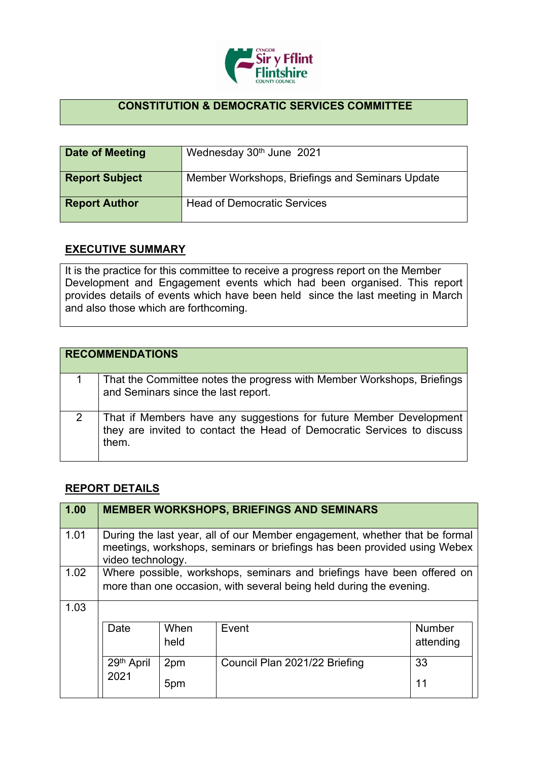

## **CONSTITUTION & DEMOCRATIC SERVICES COMMITTEE**

| Date of Meeting       | Wednesday 30th June 2021                        |
|-----------------------|-------------------------------------------------|
| <b>Report Subject</b> | Member Workshops, Briefings and Seminars Update |
| <b>Report Author</b>  | <b>Head of Democratic Services</b>              |

## **EXECUTIVE SUMMARY**

It is the practice for this committee to receive a progress report on the Member Development and Engagement events which had been organised. This report provides details of events which have been held since the last meeting in March and also those which are forthcoming.

|   | <b>RECOMMENDATIONS</b>                                                                                                                                |
|---|-------------------------------------------------------------------------------------------------------------------------------------------------------|
|   | That the Committee notes the progress with Member Workshops, Briefings<br>and Seminars since the last report.                                         |
| 2 | That if Members have any suggestions for future Member Development<br>they are invited to contact the Head of Democratic Services to discuss<br>them. |

## **REPORT DETAILS**

| 1.00 |                                                                                                                                                                             |              | <b>MEMBER WORKSHOPS, BRIEFINGS AND SEMINARS</b> |                            |
|------|-----------------------------------------------------------------------------------------------------------------------------------------------------------------------------|--------------|-------------------------------------------------|----------------------------|
| 1.01 | During the last year, all of our Member engagement, whether that be formal<br>meetings, workshops, seminars or briefings has been provided using Webex<br>video technology. |              |                                                 |                            |
| 1.02 | Where possible, workshops, seminars and briefings have been offered on<br>more than one occasion, with several being held during the evening.                               |              |                                                 |                            |
| 1.03 |                                                                                                                                                                             |              |                                                 |                            |
|      | Date                                                                                                                                                                        | When<br>held | Event                                           | <b>Number</b><br>attending |
|      | 29th April                                                                                                                                                                  | 2pm          | Council Plan 2021/22 Briefing                   | 33                         |
|      | 2021                                                                                                                                                                        | 5pm          |                                                 | 11                         |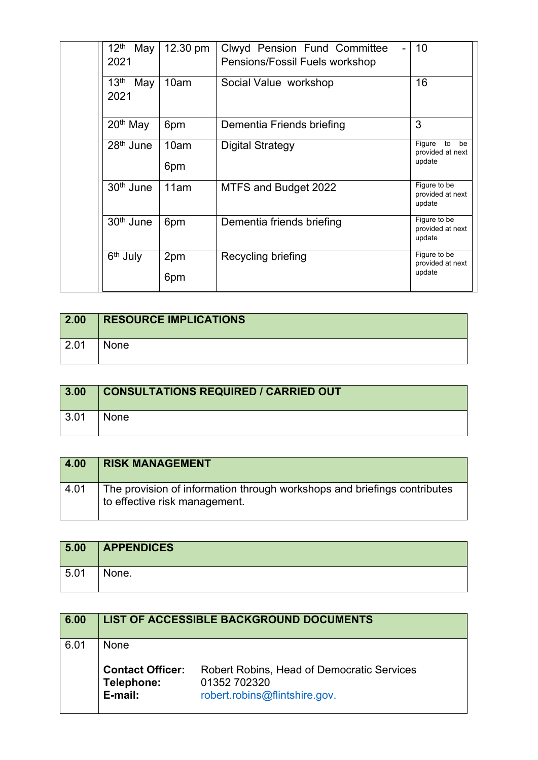| $12^{\text{th}}$<br>May<br>2021 | 12.30 pm    | Clwyd Pension Fund Committee<br>Pensions/Fossil Fuels workshop | 10                                               |
|---------------------------------|-------------|----------------------------------------------------------------|--------------------------------------------------|
| 13 <sup>th</sup><br>May<br>2021 | 10am        | Social Value workshop                                          | 16                                               |
| 20 <sup>th</sup> May            | 6pm         | Dementia Friends briefing                                      | 3                                                |
| 28 <sup>th</sup> June           | 10am<br>6pm | <b>Digital Strategy</b>                                        | Figure<br>to<br>be<br>provided at next<br>update |
| 30 <sup>th</sup> June           | 11am        | MTFS and Budget 2022                                           | Figure to be<br>provided at next<br>update       |
| 30 <sup>th</sup> June           | 6pm         | Dementia friends briefing                                      | Figure to be<br>provided at next<br>update       |
| 6 <sup>th</sup> July            | 2pm<br>6pm  | Recycling briefing                                             | Figure to be<br>provided at next<br>update       |

| $\vert 2.00 \vert$ | <b>RESOURCE IMPLICATIONS</b> |
|--------------------|------------------------------|
| 2.01               | None                         |

| 3.00 | <b>CONSULTATIONS REQUIRED / CARRIED OUT</b> |
|------|---------------------------------------------|
| 3.01 | <b>None</b>                                 |

| 4.00 | <b>RISK MANAGEMENT</b>                                                                                    |
|------|-----------------------------------------------------------------------------------------------------------|
| 4.01 | The provision of information through workshops and briefings contributes<br>to effective risk management. |

| 5.00 | <b>APPENDICES</b> |
|------|-------------------|
| 5.01 | None.             |

| 6.00 |                                                  | LIST OF ACCESSIBLE BACKGROUND DOCUMENTS                                                            |
|------|--------------------------------------------------|----------------------------------------------------------------------------------------------------|
| Ნ Ი1 | None                                             |                                                                                                    |
|      | <b>Contact Officer:</b><br>Telephone:<br>E-mail: | <b>Robert Robins, Head of Democratic Services</b><br>01352 702320<br>robert.robins@flintshire.gov. |